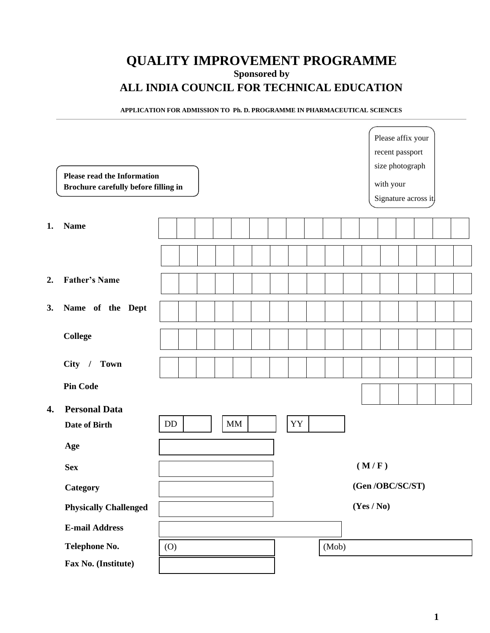# **QUALITY IMPROVEMENT PROGRAMME Sponsored by ALL INDIA COUNCIL FOR TECHNICAL EDUCATION**

#### **APPLICATION FOR ADMISSION TO Ph. D. PROGRAMME IN PHARMACEUTICAL SCIENCES**

|    | <b>Please read the Information</b><br>Brochure carefully before filling in |                | Please affix your<br>recent passport<br>size photograph<br>with your<br>Signature across it |
|----|----------------------------------------------------------------------------|----------------|---------------------------------------------------------------------------------------------|
| 1. | <b>Name</b>                                                                |                |                                                                                             |
|    |                                                                            |                |                                                                                             |
| 2. | <b>Father's Name</b>                                                       |                |                                                                                             |
| 3. | Name of the Dept                                                           |                |                                                                                             |
|    | <b>College</b>                                                             |                |                                                                                             |
|    | City / Town                                                                |                |                                                                                             |
|    | <b>Pin Code</b>                                                            |                |                                                                                             |
| 4. | <b>Personal Data</b><br>Date of Birth                                      | MM<br>YY<br>DD |                                                                                             |
|    | Age                                                                        |                |                                                                                             |
|    | <b>Sex</b>                                                                 |                | (M/F)                                                                                       |
|    | Category                                                                   |                | (Gen/OBC/SC/ST)                                                                             |
|    | <b>Physically Challenged</b>                                               |                | (Yes / No)                                                                                  |
|    | <b>E-mail Address</b>                                                      |                |                                                                                             |
|    | Telephone No.                                                              | (Mob)<br>(0)   |                                                                                             |
|    | Fax No. (Institute)                                                        |                |                                                                                             |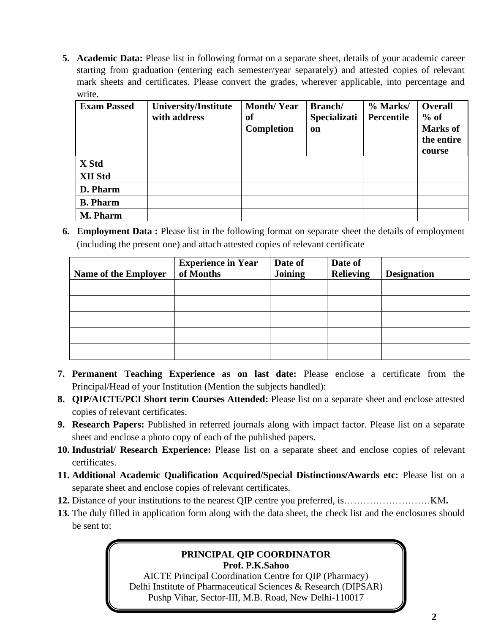**5. Academic Data:** Please list in following format on a separate sheet, details of your academic career starting from graduation (entering each semester/year separately) and attested copies of relevant mark sheets and certificates. Please convert the grades, wherever applicable, into percentage and write.

| <b>Exam Passed</b> | <b>University/Institute</b><br>with address | <b>Month/Year</b><br>оf<br>Completion | Branch/<br><b>Specializati</b><br>on | % Marks/<br>Percentile | <b>Overall</b><br>$%$ of<br><b>Marks</b> of<br>the entire<br>course |
|--------------------|---------------------------------------------|---------------------------------------|--------------------------------------|------------------------|---------------------------------------------------------------------|
| X Std              |                                             |                                       |                                      |                        |                                                                     |
| <b>XII Std</b>     |                                             |                                       |                                      |                        |                                                                     |
| D. Pharm           |                                             |                                       |                                      |                        |                                                                     |
| <b>B.</b> Pharm    |                                             |                                       |                                      |                        |                                                                     |
| M. Pharm           |                                             |                                       |                                      |                        |                                                                     |

**6. Employment Data :** Please list in the following format on separate sheet the details of employment (including the present one) and attach attested copies of relevant certificate

| <b>Name of the Employer</b> | <b>Experience in Year</b><br>of Months | Date of<br><b>Joining</b> | Date of<br><b>Relieving</b> | <b>Designation</b> |
|-----------------------------|----------------------------------------|---------------------------|-----------------------------|--------------------|
|                             |                                        |                           |                             |                    |
|                             |                                        |                           |                             |                    |
|                             |                                        |                           |                             |                    |
|                             |                                        |                           |                             |                    |

- **7. Permanent Teaching Experience as on last date:** Please enclose a certificate from the Principal/Head of your Institution (Mention the subjects handled):
- **8. QIP/AICTE/PCI Short term Courses Attended:** Please list on a separate sheet and enclose attested copies of relevant certificates.
- **9. Research Papers:** Published in referred journals along with impact factor. Please list on a separate sheet and enclose a photo copy of each of the published papers.
- **10. Industrial/ Research Experience:** Please list on a separate sheet and enclose copies of relevant certificates.
- **11. Additional Academic Qualification Acquired/Special Distinctions/Awards etc:** Please list on a separate sheet and enclose copies of relevant certificates.
- **12.** Distance of your institutions to the nearest QIP centre you preferred, is………………………KM**.**
- **13.** The duly filled in application form along with the data sheet, the check list and the enclosures should be sent to:

### **PRINCIPAL QIP COORDINATOR Prof. P.K.Sahoo**

AICTE Principal Coordination Centre for QIP (Pharmacy) Delhi Institute of Pharmaceutical Sciences & Research (DIPSAR) Pushp Vihar, Sector-III, M.B. Road, New Delhi-110017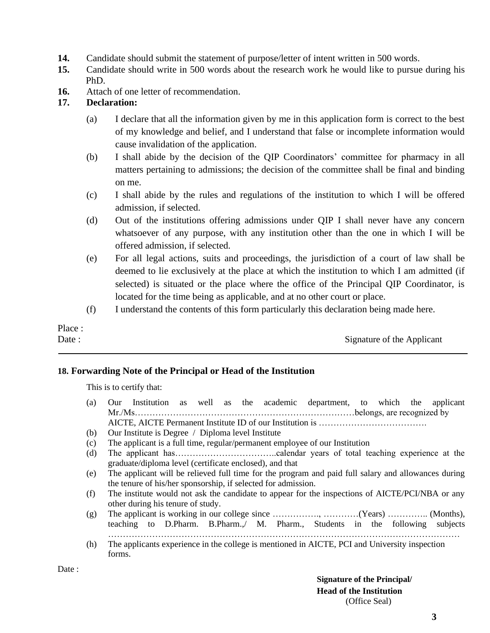- **14.** Candidate should submit the statement of purpose/letter of intent written in 500 words.
- **15.** Candidate should write in 500 words about the research work he would like to pursue during his PhD.
- **16.** Attach of one letter of recommendation.

### **17. Declaration:**

- (a) I declare that all the information given by me in this application form is correct to the best of my knowledge and belief, and I understand that false or incomplete information would cause invalidation of the application.
- (b) I shall abide by the decision of the QIP Coordinators' committee for pharmacy in all matters pertaining to admissions; the decision of the committee shall be final and binding on me.
- (c) I shall abide by the rules and regulations of the institution to which I will be offered admission, if selected.
- (d) Out of the institutions offering admissions under QIP I shall never have any concern whatsoever of any purpose, with any institution other than the one in which I will be offered admission, if selected.
- (e) For all legal actions, suits and proceedings, the jurisdiction of a court of law shall be deemed to lie exclusively at the place at which the institution to which I am admitted (if selected) is situated or the place where the office of the Principal QIP Coordinator, is located for the time being as applicable, and at no other court or place.
- (f) I understand the contents of this form particularly this declaration being made here.

Place :

Date : Signature of the Applicant

### **18. Forwarding Note of the Principal or Head of the Institution**

This is to certify that:

- (a) Our Institution as well as the academic department, to which the applicant Mr./Ms…………………………………………………………………belongs, are recognized by AICTE, AICTE Permanent Institute ID of our Institution is ……………………………….
- (b) Our Institute is Degree / Diploma level Institute
- (c) The applicant is a full time, regular/permanent employee of our Institution
- (d) The applicant has……………………………..calendar years of total teaching experience at the graduate/diploma level (certificate enclosed), and that
- (e) The applicant will be relieved full time for the program and paid full salary and allowances during the tenure of his/her sponsorship, if selected for admission.
- (f) The institute would not ask the candidate to appear for the inspections of AICTE/PCI/NBA or any other during his tenure of study.
- (g) The applicant is working in our college since ……………., …………(Years) ………….. (Months), teaching to D.Pharm. B.Pharm.,/ M. Pharm., Students in the following subjects …………………………………………………………………………………………………………
- (h) The applicants experience in the college is mentioned in AICTE, PCI and University inspection forms.

Date :

**Signature of the Principal/ Head of the Institution** (Office Seal)